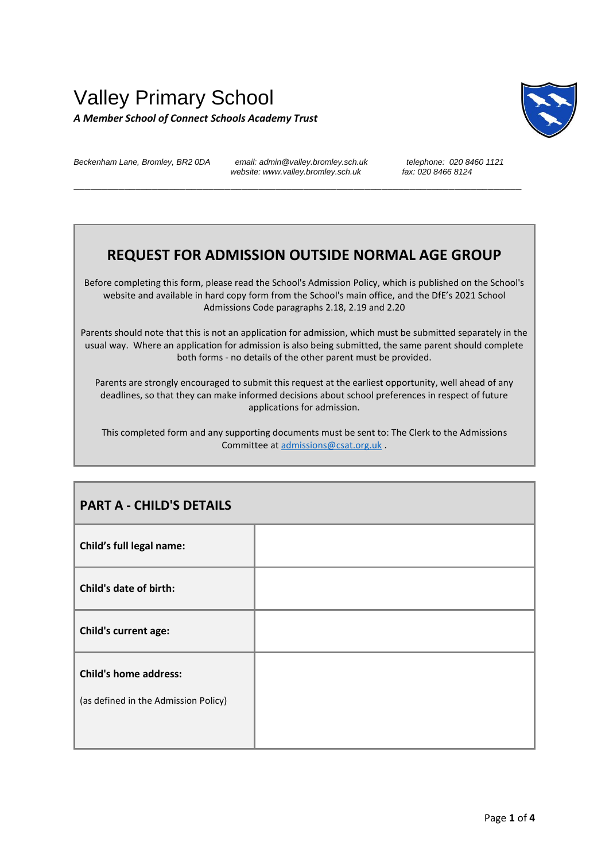## Valley Primary School *A Member School of Connect Schools Academy Trust*



*Beckenham Lane, Bromley, BR2 0DA email: admin@valley.bromley.sch.uk telephone: 020 8460 1121* website: www.valley.bromley.sch.uk

\_\_\_\_\_\_\_\_\_\_\_\_\_\_\_\_\_\_\_\_\_\_\_\_\_\_\_\_\_\_\_\_\_\_\_\_\_\_\_\_\_\_\_\_\_\_\_\_\_\_\_\_\_\_\_\_\_\_\_\_\_\_\_\_\_\_\_\_\_\_\_\_\_\_\_\_\_\_\_\_

## **REQUEST FOR ADMISSION OUTSIDE NORMAL AGE GROUP**

Before completing this form, please read the School's Admission Policy, which is published on the School's website and available in hard copy form from the School's main office, and the DfE's 2021 School Admissions Code paragraphs 2.18, 2.19 and 2.20

Parents should note that this is not an application for admission, which must be submitted separately in the usual way. Where an application for admission is also being submitted, the same parent should complete both forms - no details of the other parent must be provided.

Parents are strongly encouraged to submit this request at the earliest opportunity, well ahead of any deadlines, so that they can make informed decisions about school preferences in respect of future applications for admission.

This completed form and any supporting documents must be sent to: The Clerk to the Admissions Committee at [admissions@csat.org.uk](mailto:admissions@csat.org.uk) .

| <b>PART A - CHILD'S DETAILS</b>                                      |  |
|----------------------------------------------------------------------|--|
| Child's full legal name:                                             |  |
| Child's date of birth:                                               |  |
| Child's current age:                                                 |  |
| <b>Child's home address:</b><br>(as defined in the Admission Policy) |  |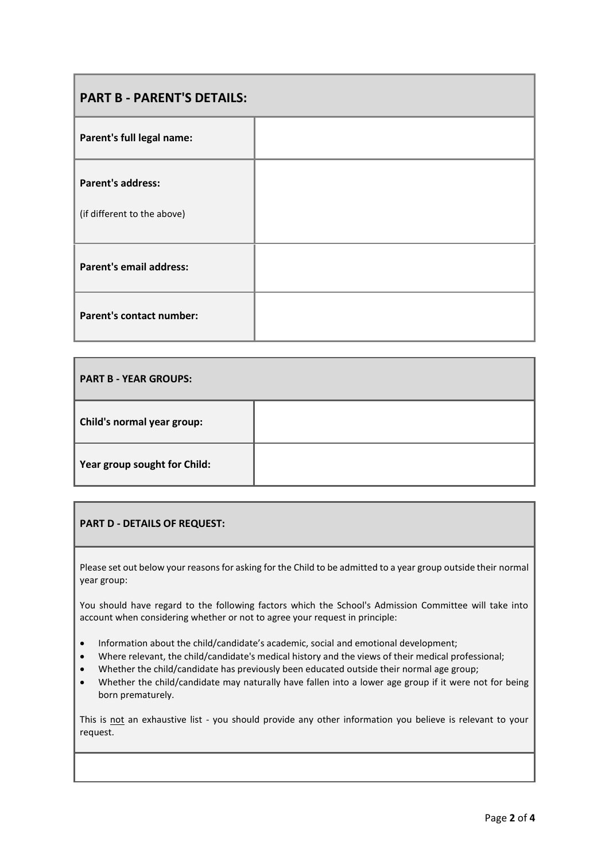| <b>PART B - PARENT'S DETAILS:</b>                       |  |  |
|---------------------------------------------------------|--|--|
| Parent's full legal name:                               |  |  |
| <b>Parent's address:</b><br>(if different to the above) |  |  |
| <b>Parent's email address:</b>                          |  |  |
| <b>Parent's contact number:</b>                         |  |  |

| <b>PART B - YEAR GROUPS:</b> |  |
|------------------------------|--|
| Child's normal year group:   |  |
| Year group sought for Child: |  |

## **PART D - DETAILS OF REQUEST:**

Please set out below your reasons for asking for the Child to be admitted to a year group outside their normal year group:

You should have regard to the following factors which the School's Admission Committee will take into account when considering whether or not to agree your request in principle:

- Information about the child/candidate's academic, social and emotional development;
- Where relevant, the child/candidate's medical history and the views of their medical professional;
- Whether the child/candidate has previously been educated outside their normal age group;
- Whether the child/candidate may naturally have fallen into a lower age group if it were not for being born prematurely.

This is not an exhaustive list - you should provide any other information you believe is relevant to your request.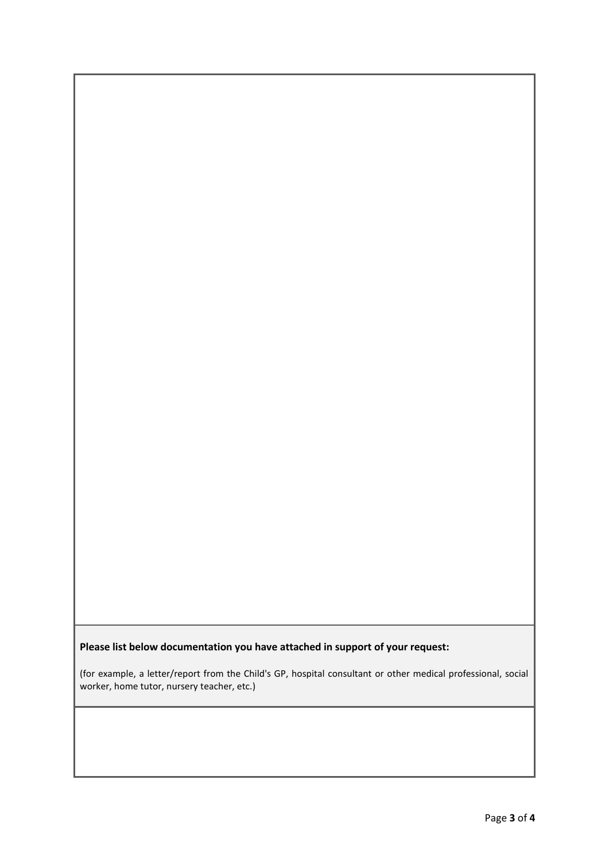## **Please list below documentation you have attached in support of your request:**

(for example, a letter/report from the Child's GP, hospital consultant or other medical professional, social worker, home tutor, nursery teacher, etc.)